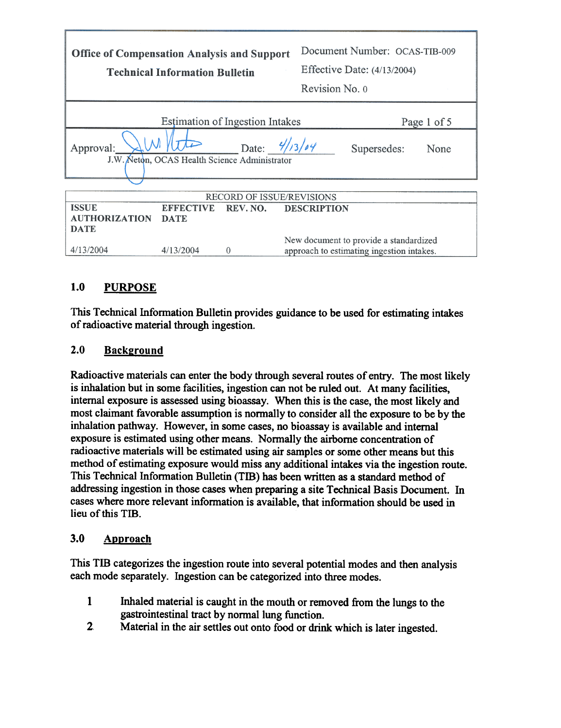| <b>Office of Compensation Analysis and Support</b><br><b>Technical Information Bulletin</b> |                       | Document Number: OCAS-TIB-009<br>Effective Date: $(4/13/2004)$<br>Revision No. 0    |  |  |
|---------------------------------------------------------------------------------------------|-----------------------|-------------------------------------------------------------------------------------|--|--|
| Estimation of Ingestion Intakes<br>Page 1 of 5                                              |                       |                                                                                     |  |  |
| Approval:<br>J.W. Neton, OCAS Health Science Administrator                                  | Date: $\frac{4}{364}$ | Supersedes:<br>None                                                                 |  |  |
|                                                                                             |                       |                                                                                     |  |  |
| <b>RECORD OF ISSUE/REVISIONS</b>                                                            |                       |                                                                                     |  |  |
| <b>ISSUE</b><br><b>EFFECTIVE</b>                                                            | REV. NO.              | <b>DESCRIPTION</b>                                                                  |  |  |
| <b>AUTHORIZATION</b><br><b>DATE</b>                                                         |                       |                                                                                     |  |  |
| <b>DATE</b>                                                                                 |                       |                                                                                     |  |  |
| 4/13/2004<br>4/13/2004                                                                      | $\Omega$              | New document to provide a standardized<br>approach to estimating ingestion intakes. |  |  |

# 1.0 PURPOSE

This Technical Information Bulletin provides guidance to be used for estimating intakes of radioactive material through ingestion.

### 2.0 Background

Radioactive materials can enter the body through several routes of entry. The most likely is inhalation but in some facilities, ingestion can not be ruled out. At many facilities, internal exposure is assessed using bioassay. When this is the case, the most likely and most claimant favorable assumption is normally to consider all the exposure to be by the inhalation pathway. However, in some cases, no bioassay is available and internal exposure is estimated using other means. Normally the airborne concentration of radioactive materials will be estimated using air samples or some other means but this method of estimating exposure would miss any additional intakes via the ingestion route. This Technical Information Bulletin (Tffi) has been written as a standard method of addressing ingestion in those cases when preparing a site Technical Basis Document. In cases where more relevant information is available, that information should be used in lieu of this TIB.

### 3.0 Approach

This TIB categorizes the ingestion route into several potential modes and then analysis each mode separately. Ingestion can be categorized into three modes.

- 1 Inhaled material is caught in the mouth or removed from the lungs to the gastrointestinal tract by normal lung function.
- 2. Material in the air settles out onto food or drink which is later ingested.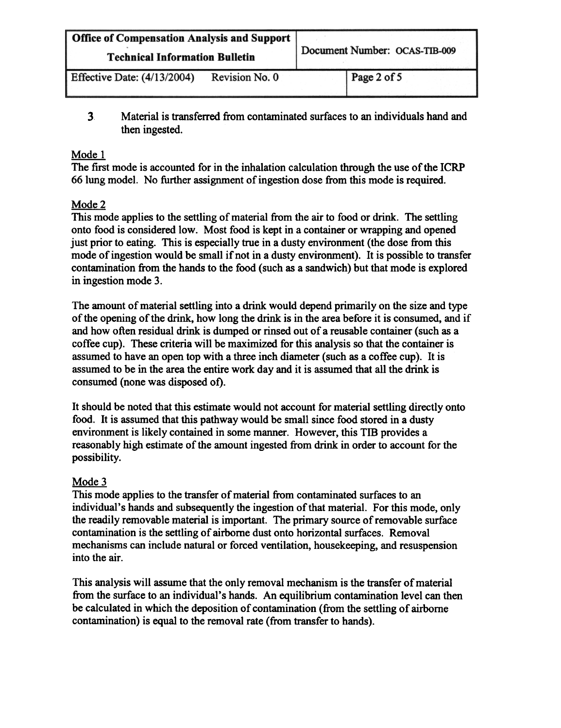| Office of Compensation Analysis and Support<br><b>Technical Information Bulletin</b> |                | Document Number: OCAS-TIB-009 |  |
|--------------------------------------------------------------------------------------|----------------|-------------------------------|--|
| <b>Effective Date: (4/13/2004)</b>                                                   | Revision No. 0 | Page 2 of 5                   |  |

3 Material is transferred from contaminated surfaces to an individuals hand and then ingested.

#### Mode I

The first mode is accounted for in the inhalation calculation through the use of the ICRP 66 lung model. No further assignment of ingestion dose from this mode is required.

### Mode 2

This mode applies to the settling of material from the air to food or drink. The settling onto food is considered low. Most food is kept in a container or wrapping and opened just prior to eating. This is especially true in a dusty environment (the dose from this mode of ingestion would be small if not in a dusty environment). It is possible to transfer contamination from the hands to the food (such as a sandwich) but that mode is explored in ingestion mode 3.

The amount of material settling into a drink would depend primarily on the size and type of the opening of the drink, how long the drink is in the area before it is consumed, and if and how often residual drink is dumped or rinsed out of a reusable container (such as a coffee cup). These criteria will be maximized for this analysis so that the container is assumed to have an open top with a three inch diameter (such as a coffee cup). It is assumed to be in the area the entire work day and it is assumed that all the drink is consumed (none was disposed of).

It should be noted that this estimate would not account for material settling directly onto food. It is assumed that this pathway would be small since food stored in a dusty environment is likely contained in some manner. However, this TIB provides a reasonably high estimate of the amount ingested from drink in order to account for the possibility.

### Mode 3

This mode applies to the transfer of material from contaminated surfaces to an individual's hands and subsequently the ingestion of that material. For this mode, only the readily removable material is important. The primary source of removable surface contamination is the settling of airborne dust onto horizontal surfaces. Removal mechanisms can include natural or forced ventilation, housekeeping, and resuspension into the air.

This analysis will assume that the only removal mechanism is the transfer of material from the surface to an individual's hands. An equilibrium contamination level can then be calculated in which the deposition of contamination (from the settling of airborne contamination) is equal to the removal rate (from transfer to hands).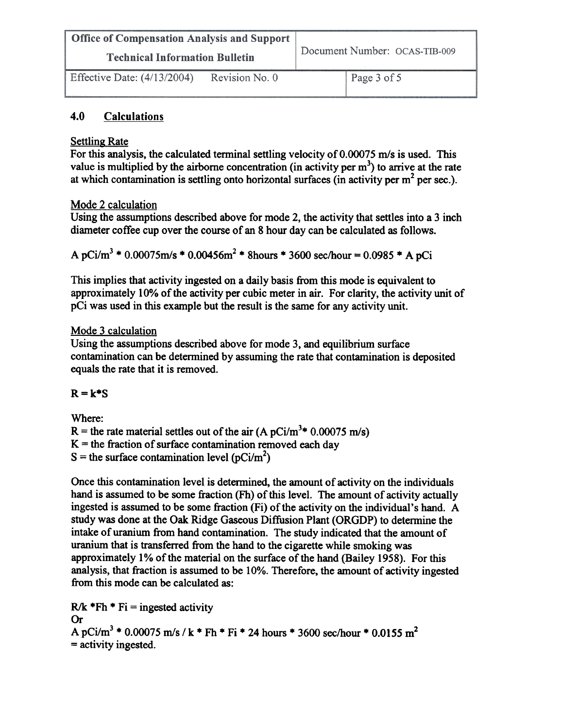| Office of Compensation Analysis and Support |                | Document Number: OCAS-TIB-009 |  |
|---------------------------------------------|----------------|-------------------------------|--|
| <b>Technical Information Bulletin</b>       |                |                               |  |
| Effective Date: (4/13/2004)                 | Revision No. 0 | Page 3 of 5                   |  |

### 4.0 Calculations

#### Settling Rate

For this analysis, the calculated terminal settling velocity of 0.00075 m/s is used. This value is multiplied by the airborne concentration (in activity per  $m<sup>3</sup>$ ) to arrive at the rate at which contamination is settling onto horizontal surfaces (in activity per  $m<sup>2</sup>$  per sec.).

#### Mode 2 calculation

Using the assumptions described above for mode 2, the activity that settles into a 3 inch diameter coffee cup over the course of an 8 hour day can be calculated as follows.

A pCi/m<sup>3</sup> \* 0.00075m/s \* 0.00456m<sup>2</sup> \* 8hours \* 3600 sec/hour = 0.0985 \* A pCi

This implies that activity ingested on a daily basis from this mode is equivalent to approximately 10% of the activity per cubic meter in air. For clarity, the activity unit of pCi was used in this example but the result is the same for any activity unit.

#### Mode 3 calculation

Using the assumptions described above for mode 3, and equilibrium surface contamination can be determined by assuming the rate that contamination is deposited equals the rate that it is removed.

#### $R = k*S$

Where:

R = the rate material settles out of the air (A pCi/m<sup>3</sup>\* 0.00075 m/s)

 $K =$  the fraction of surface contamination removed each day

S = the surface contamination level ( $pCi/m<sup>2</sup>$ )

Once this contamination level is determined, the amount of activity on the individuals hand is assumed to be some fraction (Fh) of this level. The amount of activity actually ingested is assumed to be some fraction (Fi) of the activity on the individual's hand. A study was done at the Oak Ridge Gaseous Diffusion Plant (ORGDP) to detennine the intake of uranium from hand contamination. The study indicated that the amount of uranium that is transferred from the hand to the cigarette while smoking was approximately 1 % of the material on the surface of the hand (Bailey 1958). For this analysis, that fraction is assumed to be 10%. Therefore, the amount of activity ingested from this mode can be calculated as:

 $R/k$  \*Fh \* Fi = ingested activity Or A pCi/m<sup>3</sup> \* 0.00075 m/s / k \* Fh \* Fi \* 24 hours \* 3600 sec/hour \* 0.0155 m<sup>2</sup> = activity ingested.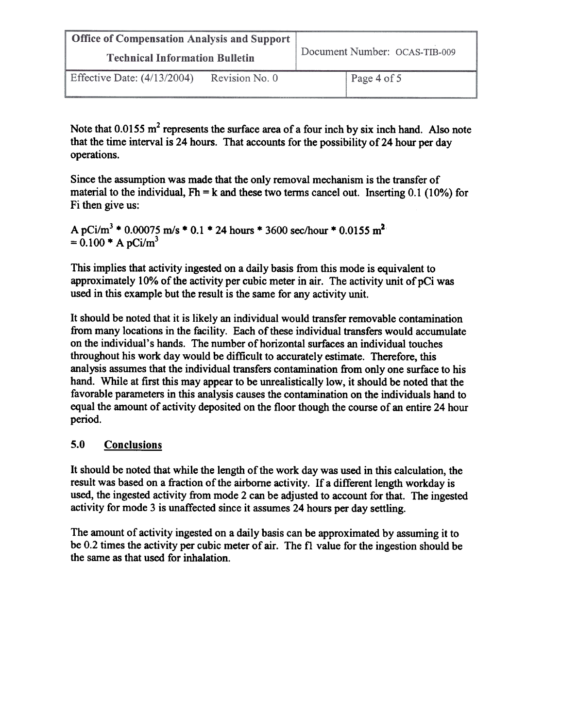| Office of Compensation Analysis and Support<br><b>Technical Information Bulletin</b> |                | Document Number: OCAS-TIB-009 |  |
|--------------------------------------------------------------------------------------|----------------|-------------------------------|--|
| Effective Date: $(4/13/2004)$                                                        | Revision No. 0 | Page 4 of 5                   |  |

Note that  $0.0155 \text{ m}^2$  represents the surface area of a four inch by six inch hand. Also note that the time interval is 24 hours. That accounts for the possibility of 24 hour per day operations.

Since the assumption was made that the only removal mechanism is the transfer of material to the individual,  $Fh = k$  and these two terms cancel out. Inserting 0.1 (10%) for Fi then give us:

A pCi/m<sup>3</sup> \* 0.00075 m/s \* 0.1 \* 24 hours \* 3600 sec/hour \* 0.0155 m<sup>2</sup>  $= 0.100 * A pCi/m<sup>3</sup>$ 

This implies that activity ingested on a daily basis from this mode is equivalent to approximately 10% of the activity per cubic meter in air. The activity unit of pCi was used in this example but the result is the same for any activity unit.

It should be noted that it is likely an individual would transfer removable contamination from many locations in the facility. Each of these individual transfers would accumulate on the individual's hands. The number of horizontal surfaces an individual touches throughout his work day would be difficult to accurately estimate. Therefore, this analysis assumes that the individual transfers contamination from only one surface to his hand. While at first this may appear to be unrealistically low, it should be noted that the favorable parameters in this analysis causes the contamination on the individuals hand to equal the amount of activity deposited on the floor though the course of an entire 24 hour period.

### 5.0 Conclusions

It should be noted that while the length of the work day was used in this calculation, the result was based on a fraction of the airborne activity. If a different length workday is used, the ingested activity from mode 2 can be adjusted to account for that. The ingested activity for mode 3 is unaffected since it assumes 24 hours per day settling.

The amount of activity ingested on a daily basis can be approximated by assuming it to be 0.2 times the activity per cubic meter of air. The fl value for the ingestion should be the same as that used for inhalation.